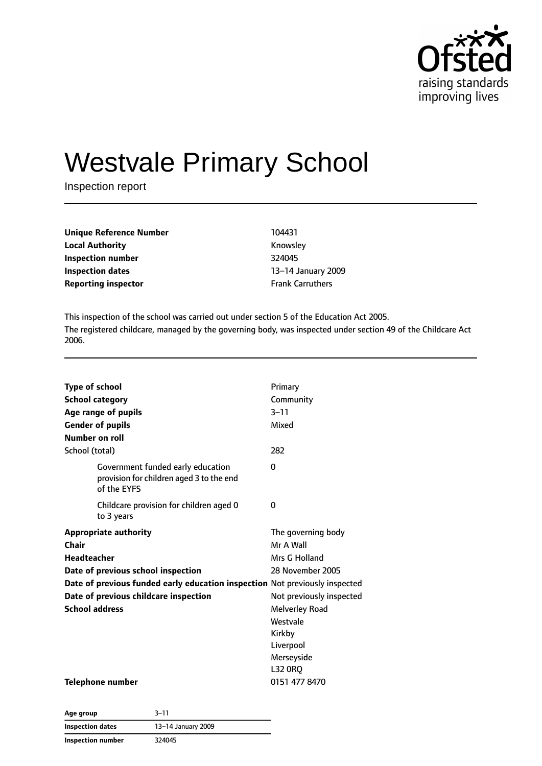

# Westvale Primary School

Inspection report

| <b>Unique Reference Number</b> | 104431                  |
|--------------------------------|-------------------------|
| <b>Local Authority</b>         | Knowsley                |
| Inspection number              | 324045                  |
| Inspection dates               | 13-14 January 20        |
| <b>Reporting inspector</b>     | <b>Frank Carruthers</b> |

**Knowsley Inspection number** 324045 **Inspection dates** 13–14 January 2009

This inspection of the school was carried out under section 5 of the Education Act 2005. The registered childcare, managed by the governing body, was inspected under section 49 of the Childcare Act 2006.

| <b>Type of school</b><br><b>School category</b><br>Age range of pupils<br><b>Gender of pupils</b><br>Number on roll | Primary<br>Community<br>$3 - 11$<br>Mixed |
|---------------------------------------------------------------------------------------------------------------------|-------------------------------------------|
| School (total)                                                                                                      | 282                                       |
| Government funded early education<br>provision for children aged 3 to the end<br>of the EYFS                        | 0                                         |
| Childcare provision for children aged 0<br>to 3 years                                                               | 0                                         |
| <b>Appropriate authority</b>                                                                                        | The governing body                        |
| Chair                                                                                                               | Mr A Wall                                 |
| <b>Headteacher</b>                                                                                                  | Mrs G Holland                             |
| Date of previous school inspection                                                                                  | 28 November 2005                          |
| Date of previous funded early education inspection Not previously inspected                                         |                                           |
| Date of previous childcare inspection                                                                               | Not previously inspected                  |
| <b>School address</b>                                                                                               | <b>Melverley Road</b>                     |
|                                                                                                                     | Westvale                                  |
|                                                                                                                     | Kirkby                                    |
|                                                                                                                     | Liverpool                                 |
|                                                                                                                     | Merseyside                                |
|                                                                                                                     | <b>L32 ORQ</b>                            |
| Telephone number                                                                                                    | 0151 477 8470                             |

**Age group** 3–11 **Inspection dates** 13–14 January 2009 **Inspection number** 324045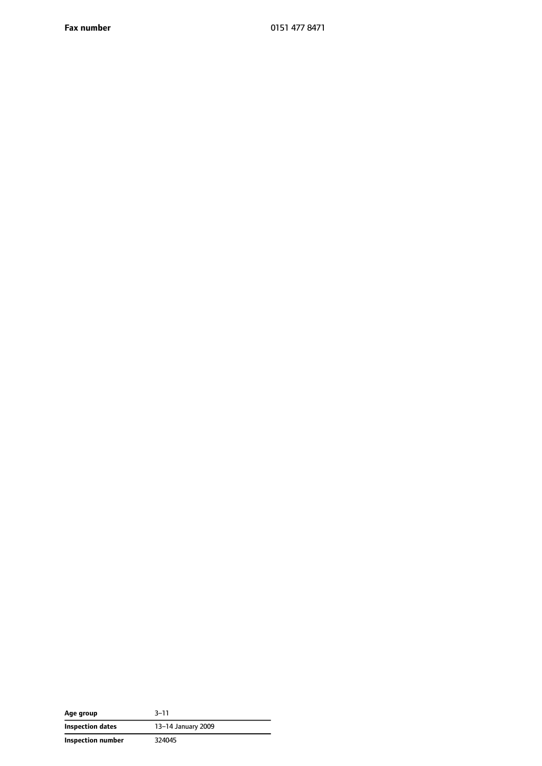**Fax number** 0151 477 8471

| Age group         | $3 - 11$           |
|-------------------|--------------------|
| Inspection dates  | 13-14 January 2009 |
| Inspection number | 324045             |

—  $\overline{\phantom{0}}$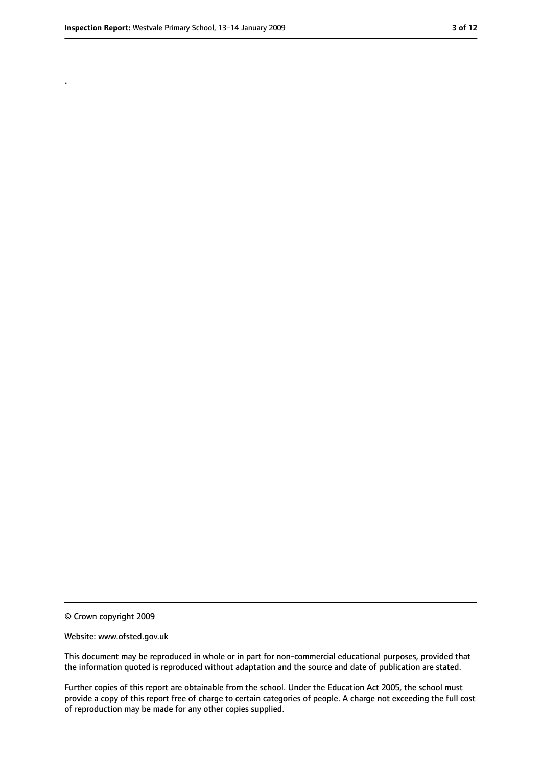.

<sup>©</sup> Crown copyright 2009

Website: www.ofsted.gov.uk

This document may be reproduced in whole or in part for non-commercial educational purposes, provided that the information quoted is reproduced without adaptation and the source and date of publication are stated.

Further copies of this report are obtainable from the school. Under the Education Act 2005, the school must provide a copy of this report free of charge to certain categories of people. A charge not exceeding the full cost of reproduction may be made for any other copies supplied.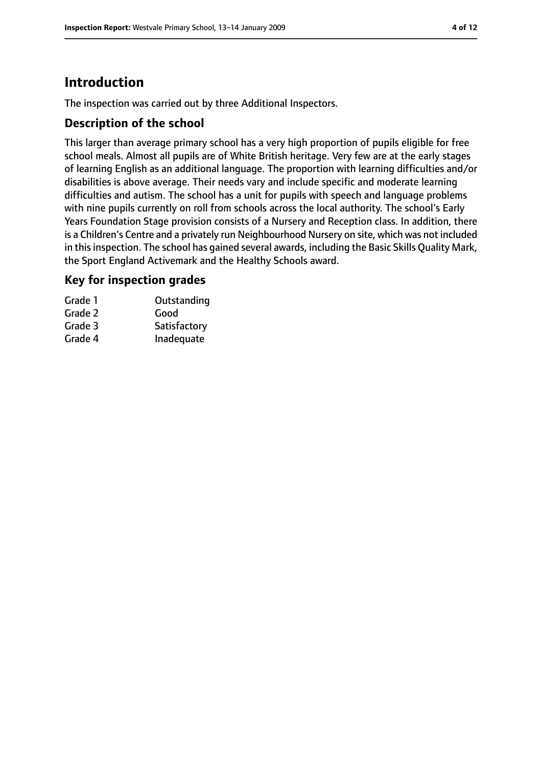# **Introduction**

The inspection was carried out by three Additional Inspectors.

#### **Description of the school**

This larger than average primary school has a very high proportion of pupils eligible for free school meals. Almost all pupils are of White British heritage. Very few are at the early stages of learning English as an additional language. The proportion with learning difficulties and/or disabilities is above average. Their needs vary and include specific and moderate learning difficulties and autism. The school has a unit for pupils with speech and language problems with nine pupils currently on roll from schools across the local authority. The school's Early Years Foundation Stage provision consists of a Nursery and Reception class. In addition, there is a Children's Centre and a privately run Neighbourhood Nursery on site, which was not included in this inspection. The school has gained several awards, including the Basic Skills Quality Mark, the Sport England Activemark and the Healthy Schools award.

#### **Key for inspection grades**

| Grade 1 | Outstanding  |
|---------|--------------|
| Grade 2 | Good         |
| Grade 3 | Satisfactory |
| Grade 4 | Inadequate   |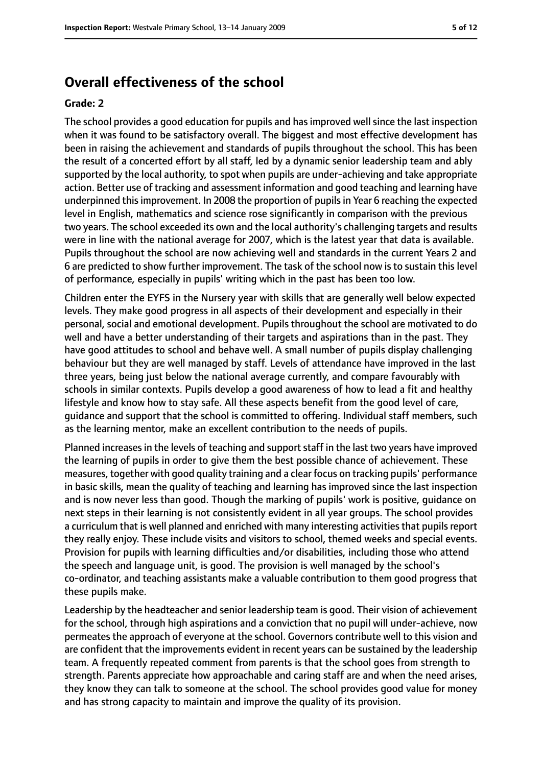#### **Overall effectiveness of the school**

#### **Grade: 2**

The school provides a good education for pupils and has improved well since the last inspection when it was found to be satisfactory overall. The biggest and most effective development has been in raising the achievement and standards of pupils throughout the school. This has been the result of a concerted effort by all staff, led by a dynamic senior leadership team and ably supported by the local authority, to spot when pupils are under-achieving and take appropriate action. Better use of tracking and assessment information and good teaching and learning have underpinned thisimprovement. In 2008 the proportion of pupilsin Year 6 reaching the expected level in English, mathematics and science rose significantly in comparison with the previous two years. The school exceeded its own and the local authority's challenging targets and results were in line with the national average for 2007, which is the latest year that data is available. Pupils throughout the school are now achieving well and standards in the current Years 2 and 6 are predicted to show further improvement. The task of the school now is to sustain this level of performance, especially in pupils' writing which in the past has been too low.

Children enter the EYFS in the Nursery year with skills that are generally well below expected levels. They make good progress in all aspects of their development and especially in their personal, social and emotional development. Pupils throughout the school are motivated to do well and have a better understanding of their targets and aspirations than in the past. They have good attitudes to school and behave well. A small number of pupils display challenging behaviour but they are well managed by staff. Levels of attendance have improved in the last three years, being just below the national average currently, and compare favourably with schools in similar contexts. Pupils develop a good awareness of how to lead a fit and healthy lifestyle and know how to stay safe. All these aspects benefit from the good level of care, guidance and support that the school is committed to offering. Individual staff members, such as the learning mentor, make an excellent contribution to the needs of pupils.

Planned increases in the levels of teaching and support staff in the last two years have improved the learning of pupils in order to give them the best possible chance of achievement. These measures, together with good quality training and a clear focus on tracking pupils' performance in basic skills, mean the quality of teaching and learning has improved since the last inspection and is now never less than good. Though the marking of pupils' work is positive, guidance on next steps in their learning is not consistently evident in all year groups. The school provides a curriculum that is well planned and enriched with many interesting activities that pupils report they really enjoy. These include visits and visitors to school, themed weeks and special events. Provision for pupils with learning difficulties and/or disabilities, including those who attend the speech and language unit, is good. The provision is well managed by the school's co-ordinator, and teaching assistants make a valuable contribution to them good progress that these pupils make.

Leadership by the headteacher and senior leadership team is good. Their vision of achievement for the school, through high aspirations and a conviction that no pupil will under-achieve, now permeates the approach of everyone at the school. Governors contribute well to this vision and are confident that the improvements evident in recent years can be sustained by the leadership team. A frequently repeated comment from parents is that the school goes from strength to strength. Parents appreciate how approachable and caring staff are and when the need arises, they know they can talk to someone at the school. The school provides good value for money and has strong capacity to maintain and improve the quality of its provision.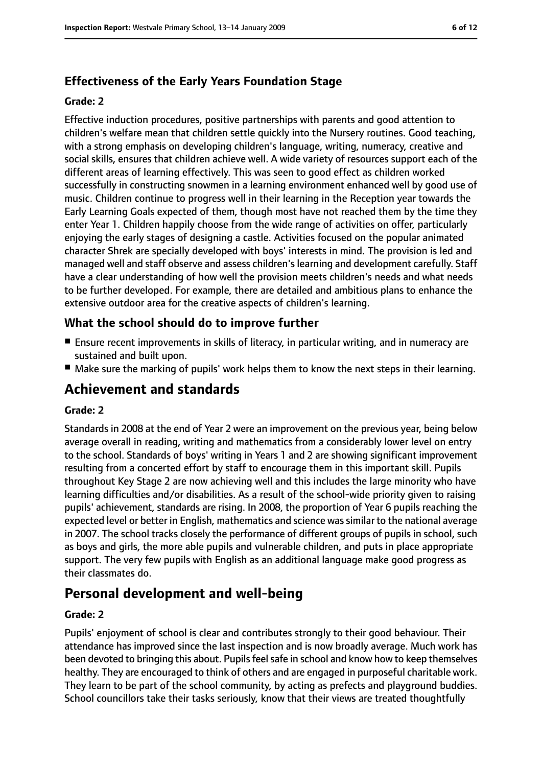#### **Effectiveness of the Early Years Foundation Stage**

#### **Grade: 2**

Effective induction procedures, positive partnerships with parents and good attention to children's welfare mean that children settle quickly into the Nursery routines. Good teaching, with a strong emphasis on developing children's language, writing, numeracy, creative and social skills, ensures that children achieve well. A wide variety of resources support each of the different areas of learning effectively. This was seen to good effect as children worked successfully in constructing snowmen in a learning environment enhanced well by good use of music. Children continue to progress well in their learning in the Reception year towards the Early Learning Goals expected of them, though most have not reached them by the time they enter Year 1. Children happily choose from the wide range of activities on offer, particularly enjoying the early stages of designing a castle. Activities focused on the popular animated character Shrek are specially developed with boys' interests in mind. The provision is led and managed well and staff observe and assess children's learning and development carefully. Staff have a clear understanding of how well the provision meets children's needs and what needs to be further developed. For example, there are detailed and ambitious plans to enhance the extensive outdoor area for the creative aspects of children's learning.

#### **What the school should do to improve further**

- Ensure recent improvements in skills of literacy, in particular writing, and in numeracy are sustained and built upon.
- Make sure the marking of pupils' work helps them to know the next steps in their learning.

# **Achievement and standards**

#### **Grade: 2**

Standards in 2008 at the end of Year 2 were an improvement on the previous year, being below average overall in reading, writing and mathematics from a considerably lower level on entry to the school. Standards of boys' writing in Years 1 and 2 are showing significant improvement resulting from a concerted effort by staff to encourage them in this important skill. Pupils throughout Key Stage 2 are now achieving well and this includes the large minority who have learning difficulties and/or disabilities. As a result of the school-wide priority given to raising pupils' achievement, standards are rising. In 2008, the proportion of Year 6 pupils reaching the expected level or better in English, mathematics and science wassimilar to the national average in 2007. The school tracks closely the performance of different groups of pupils in school, such as boys and girls, the more able pupils and vulnerable children, and puts in place appropriate support. The very few pupils with English as an additional language make good progress as their classmates do.

# **Personal development and well-being**

#### **Grade: 2**

Pupils' enjoyment of school is clear and contributes strongly to their good behaviour. Their attendance has improved since the last inspection and is now broadly average. Much work has been devoted to bringing this about. Pupils feel safe in school and know how to keep themselves healthy. They are encouraged to think of others and are engaged in purposeful charitable work. They learn to be part of the school community, by acting as prefects and playground buddies. School councillors take their tasks seriously, know that their views are treated thoughtfully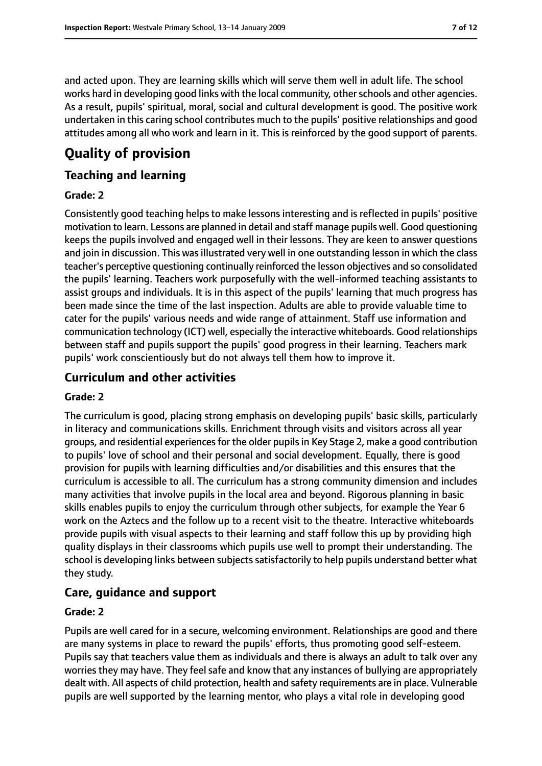and acted upon. They are learning skills which will serve them well in adult life. The school works hard in developing good links with the local community, other schools and other agencies. As a result, pupils' spiritual, moral, social and cultural development is good. The positive work undertaken in this caring school contributes much to the pupils' positive relationships and good attitudes among all who work and learn in it. This is reinforced by the good support of parents.

# **Quality of provision**

#### **Teaching and learning**

#### **Grade: 2**

Consistently good teaching helps to make lessons interesting and is reflected in pupils' positive motivation to learn. Lessons are planned in detail and staff manage pupils well. Good questioning keeps the pupils involved and engaged well in their lessons. They are keen to answer questions and join in discussion. This was illustrated very well in one outstanding lesson in which the class teacher's perceptive questioning continually reinforced the lesson objectives and so consolidated the pupils' learning. Teachers work purposefully with the well-informed teaching assistants to assist groups and individuals. It is in this aspect of the pupils' learning that much progress has been made since the time of the last inspection. Adults are able to provide valuable time to cater for the pupils' various needs and wide range of attainment. Staff use information and communication technology (ICT) well, especially the interactive whiteboards. Good relationships between staff and pupils support the pupils' good progress in their learning. Teachers mark pupils' work conscientiously but do not always tell them how to improve it.

#### **Curriculum and other activities**

#### **Grade: 2**

The curriculum is good, placing strong emphasis on developing pupils' basic skills, particularly in literacy and communications skills. Enrichment through visits and visitors across all year groups, and residential experiences for the older pupils in Key Stage 2, make a good contribution to pupils' love of school and their personal and social development. Equally, there is good provision for pupils with learning difficulties and/or disabilities and this ensures that the curriculum is accessible to all. The curriculum has a strong community dimension and includes many activities that involve pupils in the local area and beyond. Rigorous planning in basic skills enables pupils to enjoy the curriculum through other subjects, for example the Year 6 work on the Aztecs and the follow up to a recent visit to the theatre. Interactive whiteboards provide pupils with visual aspects to their learning and staff follow this up by providing high quality displays in their classrooms which pupils use well to prompt their understanding. The school is developing links between subjects satisfactorily to help pupils understand better what they study.

### **Care, guidance and support**

#### **Grade: 2**

Pupils are well cared for in a secure, welcoming environment. Relationships are good and there are many systems in place to reward the pupils' efforts, thus promoting good self-esteem. Pupils say that teachers value them as individuals and there is always an adult to talk over any worries they may have. They feel safe and know that any instances of bullying are appropriately dealt with. All aspects of child protection, health and safety requirements are in place. Vulnerable pupils are well supported by the learning mentor, who plays a vital role in developing good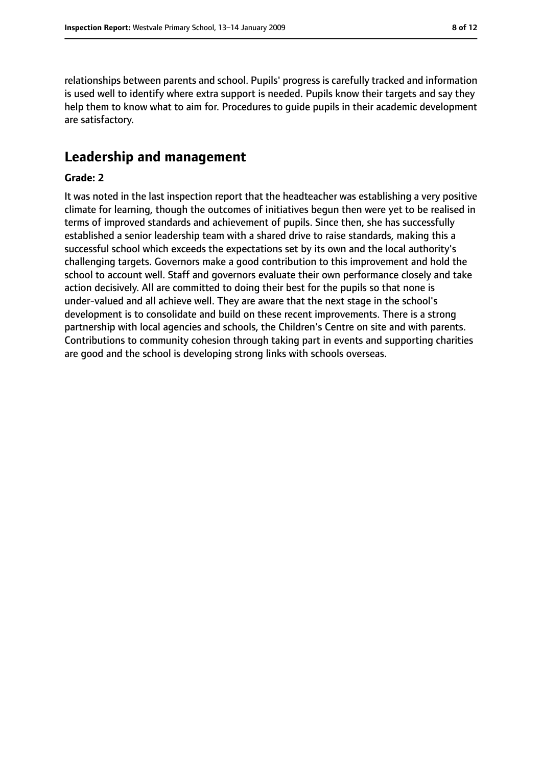relationships between parents and school. Pupils' progress is carefully tracked and information is used well to identify where extra support is needed. Pupils know their targets and say they help them to know what to aim for. Procedures to guide pupils in their academic development are satisfactory.

#### **Leadership and management**

#### **Grade: 2**

It was noted in the last inspection report that the headteacher was establishing a very positive climate for learning, though the outcomes of initiatives begun then were yet to be realised in terms of improved standards and achievement of pupils. Since then, she has successfully established a senior leadership team with a shared drive to raise standards, making this a successful school which exceeds the expectations set by its own and the local authority's challenging targets. Governors make a good contribution to this improvement and hold the school to account well. Staff and governors evaluate their own performance closely and take action decisively. All are committed to doing their best for the pupils so that none is under-valued and all achieve well. They are aware that the next stage in the school's development is to consolidate and build on these recent improvements. There is a strong partnership with local agencies and schools, the Children's Centre on site and with parents. Contributions to community cohesion through taking part in events and supporting charities are good and the school is developing strong links with schools overseas.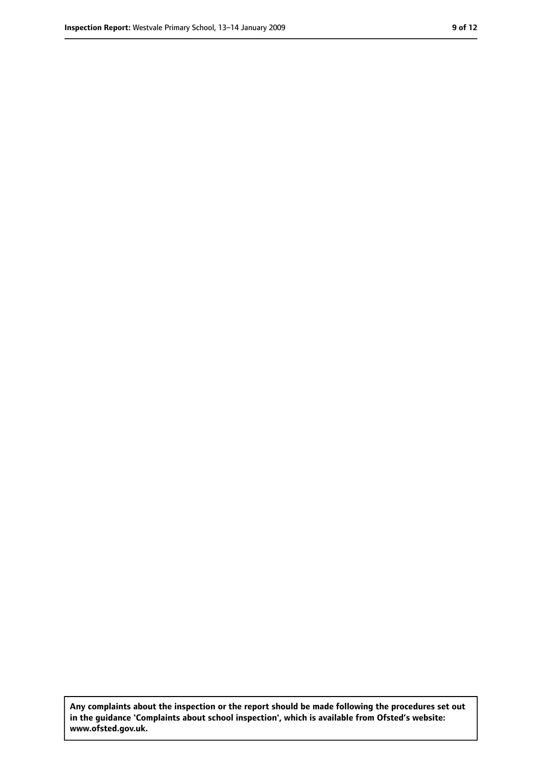**Any complaints about the inspection or the report should be made following the procedures set out in the guidance 'Complaints about school inspection', which is available from Ofsted's website: www.ofsted.gov.uk.**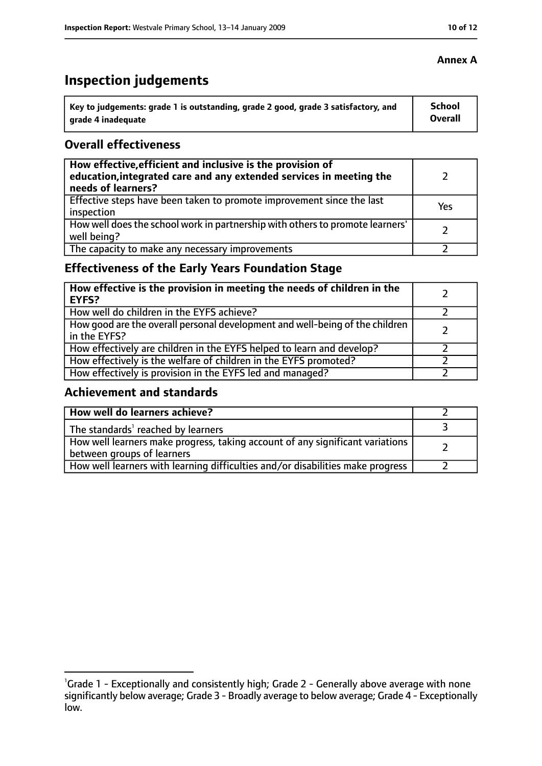# **Inspection judgements**

| Key to judgements: grade 1 is outstanding, grade 2 good, grade 3 satisfactory, and | <b>School</b>  |
|------------------------------------------------------------------------------------|----------------|
| arade 4 inadequate                                                                 | <b>Overall</b> |

#### **Overall effectiveness**

| How effective, efficient and inclusive is the provision of<br>education, integrated care and any extended services in meeting the<br>needs of learners? |     |
|---------------------------------------------------------------------------------------------------------------------------------------------------------|-----|
| Effective steps have been taken to promote improvement since the last<br>inspection                                                                     | Yes |
| How well does the school work in partnership with others to promote learners'<br>well being?                                                            |     |
| The capacity to make any necessary improvements                                                                                                         |     |

### **Effectiveness of the Early Years Foundation Stage**

| How effective is the provision in meeting the needs of children in the<br>l EYFS?            |  |
|----------------------------------------------------------------------------------------------|--|
| How well do children in the EYFS achieve?                                                    |  |
| How good are the overall personal development and well-being of the children<br>in the EYFS? |  |
| How effectively are children in the EYFS helped to learn and develop?                        |  |
| How effectively is the welfare of children in the EYFS promoted?                             |  |
| How effectively is provision in the EYFS led and managed?                                    |  |

#### **Achievement and standards**

| How well do learners achieve?                                                                               |  |
|-------------------------------------------------------------------------------------------------------------|--|
| The standards <sup>1</sup> reached by learners                                                              |  |
| How well learners make progress, taking account of any significant variations<br>between groups of learners |  |
| How well learners with learning difficulties and/or disabilities make progress                              |  |

<sup>&</sup>lt;sup>1</sup>Grade 1 - Exceptionally and consistently high; Grade 2 - Generally above average with none significantly below average; Grade 3 - Broadly average to below average; Grade 4 - Exceptionally low.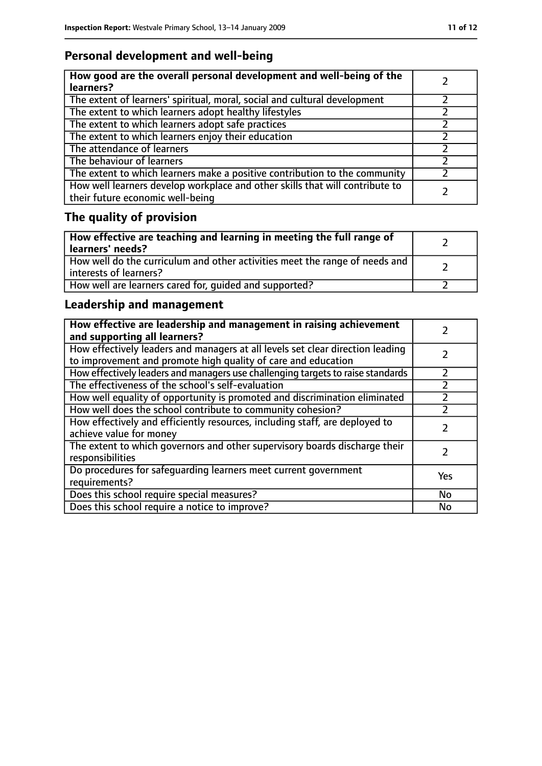### **Personal development and well-being**

| How good are the overall personal development and well-being of the<br>learners?                                 |  |
|------------------------------------------------------------------------------------------------------------------|--|
| The extent of learners' spiritual, moral, social and cultural development                                        |  |
| The extent to which learners adopt healthy lifestyles                                                            |  |
| The extent to which learners adopt safe practices                                                                |  |
| The extent to which learners enjoy their education                                                               |  |
| The attendance of learners                                                                                       |  |
| The behaviour of learners                                                                                        |  |
| The extent to which learners make a positive contribution to the community                                       |  |
| How well learners develop workplace and other skills that will contribute to<br>their future economic well-being |  |

# **The quality of provision**

| How effective are teaching and learning in meeting the full range of<br>learners' needs?              |  |
|-------------------------------------------------------------------------------------------------------|--|
| How well do the curriculum and other activities meet the range of needs and<br>interests of learners? |  |
| How well are learners cared for, quided and supported?                                                |  |

### **Leadership and management**

| How effective are leadership and management in raising achievement<br>and supporting all learners?                                              |     |
|-------------------------------------------------------------------------------------------------------------------------------------------------|-----|
| How effectively leaders and managers at all levels set clear direction leading<br>to improvement and promote high quality of care and education |     |
| How effectively leaders and managers use challenging targets to raise standards                                                                 |     |
| The effectiveness of the school's self-evaluation                                                                                               |     |
| How well equality of opportunity is promoted and discrimination eliminated                                                                      |     |
| How well does the school contribute to community cohesion?                                                                                      |     |
| How effectively and efficiently resources, including staff, are deployed to<br>achieve value for money                                          |     |
| The extent to which governors and other supervisory boards discharge their<br>responsibilities                                                  |     |
| Do procedures for safeguarding learners meet current government<br>requirements?                                                                | Yes |
| Does this school require special measures?                                                                                                      | No  |
| Does this school require a notice to improve?                                                                                                   | No  |